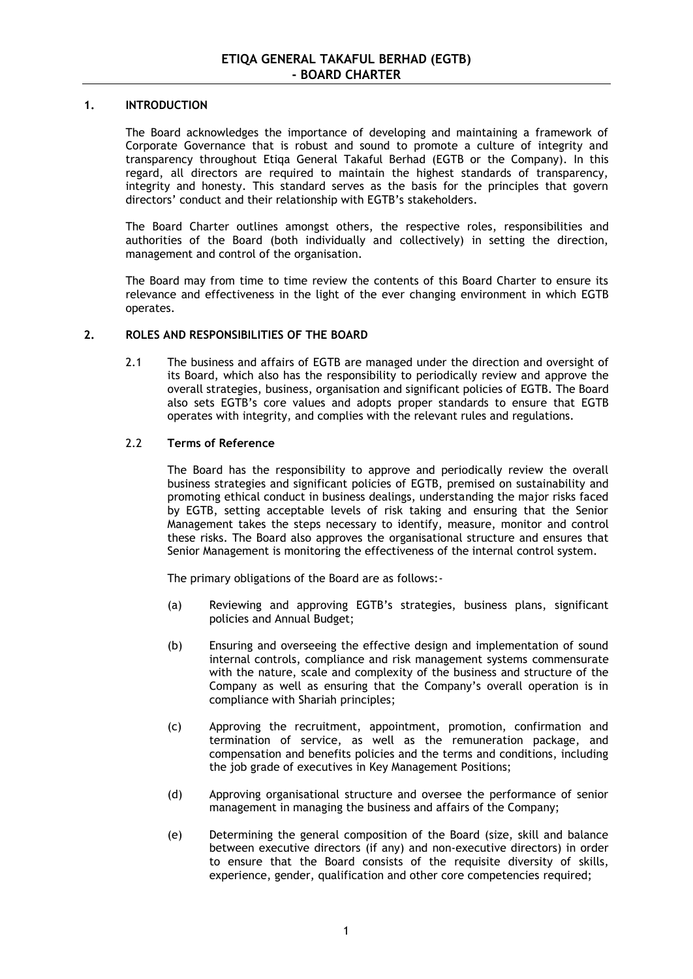### **1. INTRODUCTION**

The Board acknowledges the importance of developing and maintaining a framework of Corporate Governance that is robust and sound to promote a culture of integrity and transparency throughout Etiqa General Takaful Berhad (EGTB or the Company). In this regard, all directors are required to maintain the highest standards of transparency, integrity and honesty. This standard serves as the basis for the principles that govern directors' conduct and their relationship with EGTB's stakeholders.

The Board Charter outlines amongst others, the respective roles, responsibilities and authorities of the Board (both individually and collectively) in setting the direction, management and control of the organisation.

The Board may from time to time review the contents of this Board Charter to ensure its relevance and effectiveness in the light of the ever changing environment in which EGTB operates.

### **2. ROLES AND RESPONSIBILITIES OF THE BOARD**

2.1 The business and affairs of EGTB are managed under the direction and oversight of its Board, which also has the responsibility to periodically review and approve the overall strategies, business, organisation and significant policies of EGTB. The Board also sets EGTB's core values and adopts proper standards to ensure that EGTB operates with integrity, and complies with the relevant rules and regulations.

# 2.2 **Terms of Reference**

The Board has the responsibility to approve and periodically review the overall business strategies and significant policies of EGTB, premised on sustainability and promoting ethical conduct in business dealings, understanding the major risks faced by EGTB, setting acceptable levels of risk taking and ensuring that the Senior Management takes the steps necessary to identify, measure, monitor and control these risks. The Board also approves the organisational structure and ensures that Senior Management is monitoring the effectiveness of the internal control system.

The primary obligations of the Board are as follows:-

- (a) Reviewing and approving EGTB's strategies, business plans, significant policies and Annual Budget;
- (b) Ensuring and overseeing the effective design and implementation of sound internal controls, compliance and risk management systems commensurate with the nature, scale and complexity of the business and structure of the Company as well as ensuring that the Company's overall operation is in compliance with Shariah principles;
- (c) Approving the recruitment, appointment, promotion, confirmation and termination of service, as well as the remuneration package, and compensation and benefits policies and the terms and conditions, including the job grade of executives in Key Management Positions;
- (d) Approving organisational structure and oversee the performance of senior management in managing the business and affairs of the Company;
- (e) Determining the general composition of the Board (size, skill and balance between executive directors (if any) and non-executive directors) in order to ensure that the Board consists of the requisite diversity of skills, experience, gender, qualification and other core competencies required;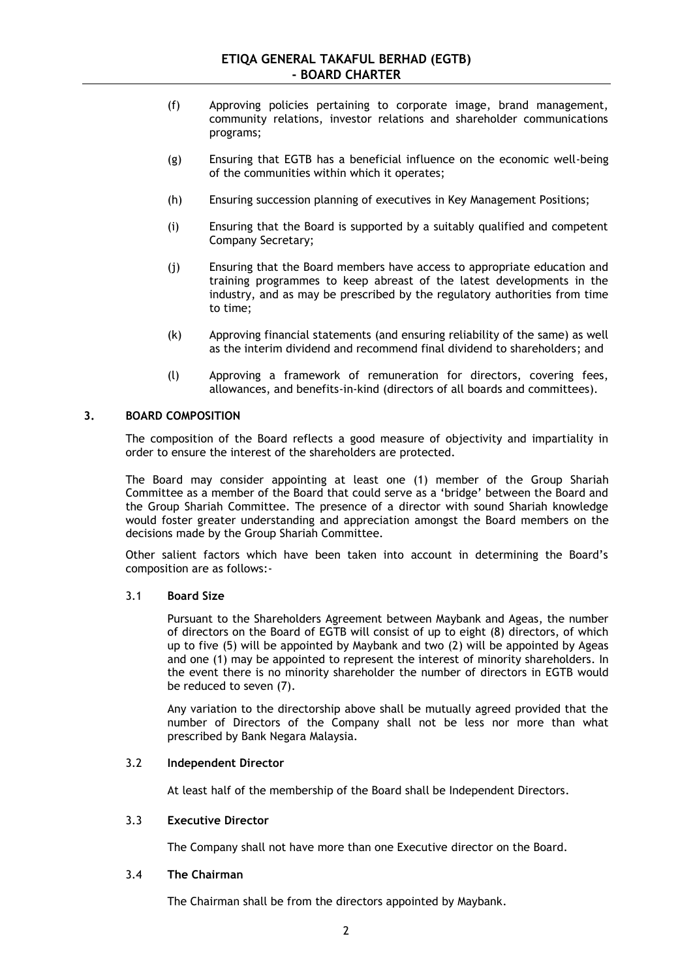- (f) Approving policies pertaining to corporate image, brand management, community relations, investor relations and shareholder communications programs;
- (g) Ensuring that EGTB has a beneficial influence on the economic well-being of the communities within which it operates;
- (h) Ensuring succession planning of executives in Key Management Positions;
- (i) Ensuring that the Board is supported by a suitably qualified and competent Company Secretary;
- (j) Ensuring that the Board members have access to appropriate education and training programmes to keep abreast of the latest developments in the industry, and as may be prescribed by the regulatory authorities from time to time;
- (k) Approving financial statements (and ensuring reliability of the same) as well as the interim dividend and recommend final dividend to shareholders; and
- (l) Approving a framework of remuneration for directors, covering fees, allowances, and benefits-in-kind (directors of all boards and committees).

### **3. BOARD COMPOSITION**

The composition of the Board reflects a good measure of objectivity and impartiality in order to ensure the interest of the shareholders are protected.

The Board may consider appointing at least one (1) member of the Group Shariah Committee as a member of the Board that could serve as a 'bridge' between the Board and the Group Shariah Committee. The presence of a director with sound Shariah knowledge would foster greater understanding and appreciation amongst the Board members on the decisions made by the Group Shariah Committee.

Other salient factors which have been taken into account in determining the Board's composition are as follows:-

#### 3.1 **Board Size**

Pursuant to the Shareholders Agreement between Maybank and Ageas, the number of directors on the Board of EGTB will consist of up to eight (8) directors, of which up to five (5) will be appointed by Maybank and two (2) will be appointed by Ageas and one (1) may be appointed to represent the interest of minority shareholders. In the event there is no minority shareholder the number of directors in EGTB would be reduced to seven (7).

Any variation to the directorship above shall be mutually agreed provided that the number of Directors of the Company shall not be less nor more than what prescribed by Bank Negara Malaysia.

# 3.2 **Independent Director**

At least half of the membership of the Board shall be Independent Directors.

### 3.3 **Executive Director**

The Company shall not have more than one Executive director on the Board.

#### 3.4 **The Chairman**

The Chairman shall be from the directors appointed by Maybank.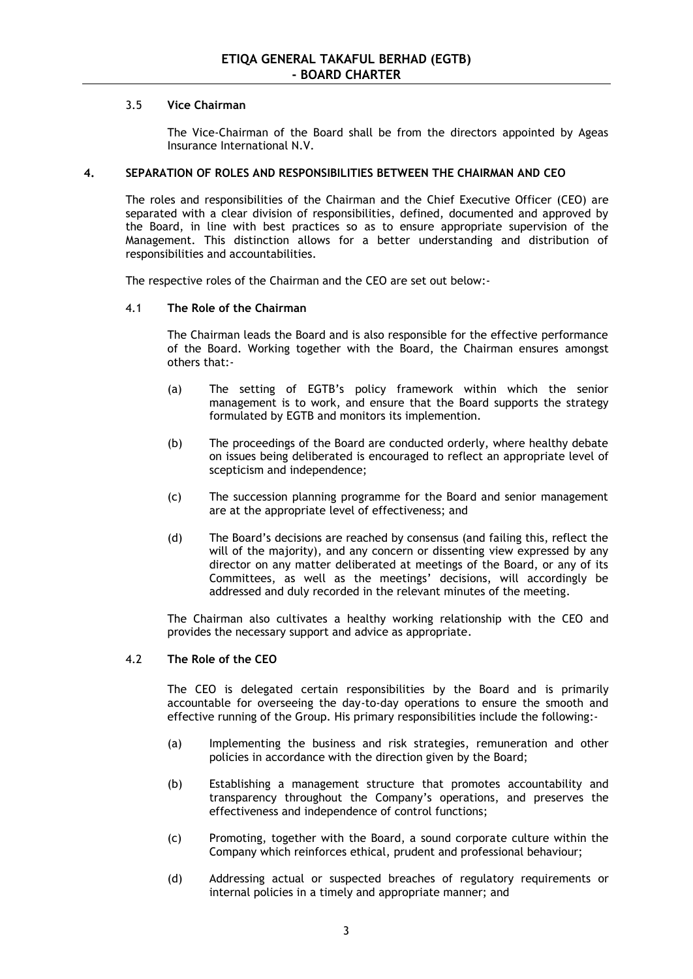### 3.5 **Vice Chairman**

The Vice-Chairman of the Board shall be from the directors appointed by Ageas Insurance International N.V.

### **4. SEPARATION OF ROLES AND RESPONSIBILITIES BETWEEN THE CHAIRMAN AND CEO**

The roles and responsibilities of the Chairman and the Chief Executive Officer (CEO) are separated with a clear division of responsibilities, defined, documented and approved by the Board, in line with best practices so as to ensure appropriate supervision of the Management. This distinction allows for a better understanding and distribution of responsibilities and accountabilities.

The respective roles of the Chairman and the CEO are set out below:-

### 4.1 **The Role of the Chairman**

The Chairman leads the Board and is also responsible for the effective performance of the Board. Working together with the Board, the Chairman ensures amongst others that:-

- (a) The setting of EGTB's policy framework within which the senior management is to work, and ensure that the Board supports the strategy formulated by EGTB and monitors its implemention.
- (b) The proceedings of the Board are conducted orderly, where healthy debate on issues being deliberated is encouraged to reflect an appropriate level of scepticism and independence;
- (c) The succession planning programme for the Board and senior management are at the appropriate level of effectiveness; and
- (d) The Board's decisions are reached by consensus (and failing this, reflect the will of the majority), and any concern or dissenting view expressed by any director on any matter deliberated at meetings of the Board, or any of its Committees, as well as the meetings' decisions, will accordingly be addressed and duly recorded in the relevant minutes of the meeting.

The Chairman also cultivates a healthy working relationship with the CEO and provides the necessary support and advice as appropriate.

### 4.2 **The Role of the CEO**

The CEO is delegated certain responsibilities by the Board and is primarily accountable for overseeing the day-to-day operations to ensure the smooth and effective running of the Group. His primary responsibilities include the following:-

- (a) Implementing the business and risk strategies, remuneration and other policies in accordance with the direction given by the Board;
- (b) Establishing a management structure that promotes accountability and transparency throughout the Company's operations, and preserves the effectiveness and independence of control functions;
- (c) Promoting, together with the Board, a sound corporate culture within the Company which reinforces ethical, prudent and professional behaviour;
- (d) Addressing actual or suspected breaches of regulatory requirements or internal policies in a timely and appropriate manner; and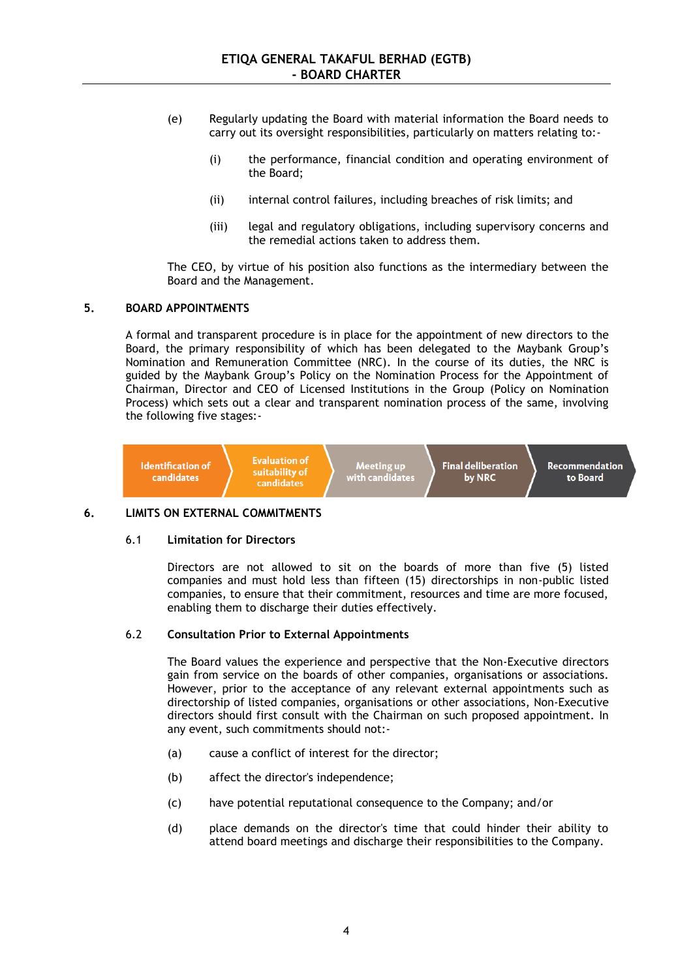- (e) Regularly updating the Board with material information the Board needs to carry out its oversight responsibilities, particularly on matters relating to:-
	- (i) the performance, financial condition and operating environment of the Board;
	- (ii) internal control failures, including breaches of risk limits; and
	- (iii) legal and regulatory obligations, including supervisory concerns and the remedial actions taken to address them.

The CEO, by virtue of his position also functions as the intermediary between the Board and the Management.

### **5. BOARD APPOINTMENTS**

A formal and transparent procedure is in place for the appointment of new directors to the Board, the primary responsibility of which has been delegated to the Maybank Group's Nomination and Remuneration Committee (NRC). In the course of its duties, the NRC is guided by the Maybank Group's Policy on the Nomination Process for the Appointment of Chairman, Director and CEO of Licensed Institutions in the Group (Policy on Nomination Process) which sets out a clear and transparent nomination process of the same, involving the following five stages:-



## **6. LIMITS ON EXTERNAL COMMITMENTS**

#### 6.1 **Limitation for Directors**

Directors are not allowed to sit on the boards of more than five (5) listed companies and must hold less than fifteen (15) directorships in non-public listed companies, to ensure that their commitment, resources and time are more focused, enabling them to discharge their duties effectively.

## 6.2 **Consultation Prior to External Appointments**

The Board values the experience and perspective that the Non-Executive directors gain from service on the boards of other companies, organisations or associations. However, prior to the acceptance of any relevant external appointments such as directorship of listed companies, organisations or other associations, Non-Executive directors should first consult with the Chairman on such proposed appointment. In any event, such commitments should not:-

- (a) cause a conflict of interest for the director;
- (b) affect the director's independence;
- (c) have potential reputational consequence to the Company; and/or
- (d) place demands on the director's time that could hinder their ability to attend board meetings and discharge their responsibilities to the Company.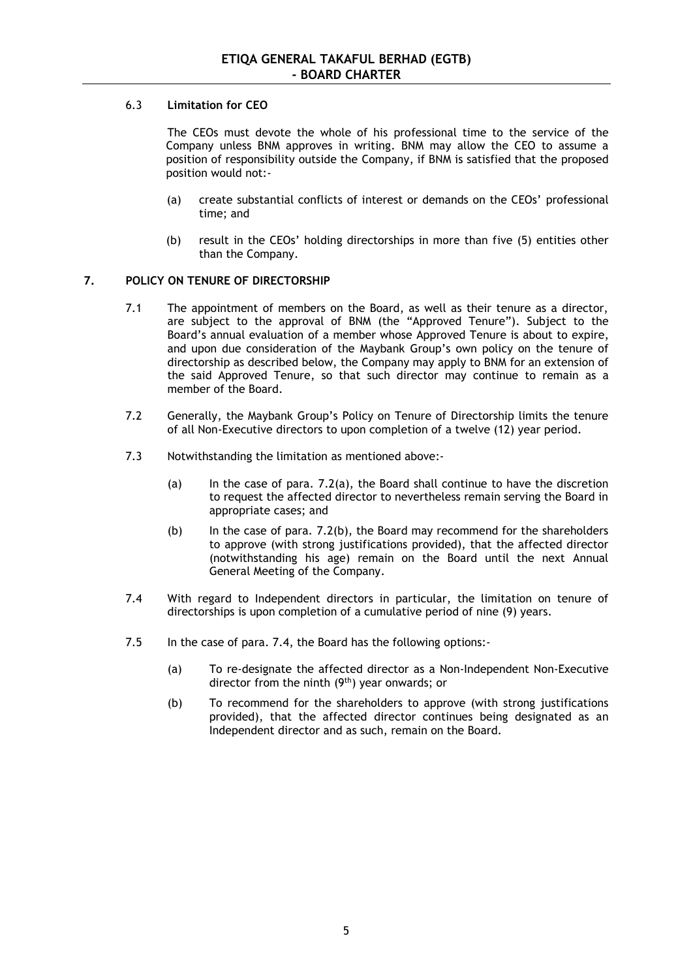## 6.3 **Limitation for CEO**

The CEOs must devote the whole of his professional time to the service of the Company unless BNM approves in writing. BNM may allow the CEO to assume a position of responsibility outside the Company, if BNM is satisfied that the proposed position would not:-

- (a) create substantial conflicts of interest or demands on the CEOs' professional time; and
- (b) result in the CEOs' holding directorships in more than five (5) entities other than the Company.

# **7. POLICY ON TENURE OF DIRECTORSHIP**

- 7.1 The appointment of members on the Board, as well as their tenure as a director, are subject to the approval of BNM (the "Approved Tenure"). Subject to the Board's annual evaluation of a member whose Approved Tenure is about to expire, and upon due consideration of the Maybank Group's own policy on the tenure of directorship as described below, the Company may apply to BNM for an extension of the said Approved Tenure, so that such director may continue to remain as a member of the Board.
- 7.2 Generally, the Maybank Group's Policy on Tenure of Directorship limits the tenure of all Non-Executive directors to upon completion of a twelve (12) year period.
- 7.3 Notwithstanding the limitation as mentioned above:-
	- (a) In the case of para. 7.2(a), the Board shall continue to have the discretion to request the affected director to nevertheless remain serving the Board in appropriate cases; and
	- (b) In the case of para. 7.2(b), the Board may recommend for the shareholders to approve (with strong justifications provided), that the affected director (notwithstanding his age) remain on the Board until the next Annual General Meeting of the Company.
- 7.4 With regard to Independent directors in particular, the limitation on tenure of directorships is upon completion of a cumulative period of nine (9) years.
- 7.5 In the case of para. 7.4, the Board has the following options:-
	- (a) To re-designate the affected director as a Non-Independent Non-Executive director from the ninth (9th) year onwards; or
	- (b) To recommend for the shareholders to approve (with strong justifications provided), that the affected director continues being designated as an Independent director and as such, remain on the Board.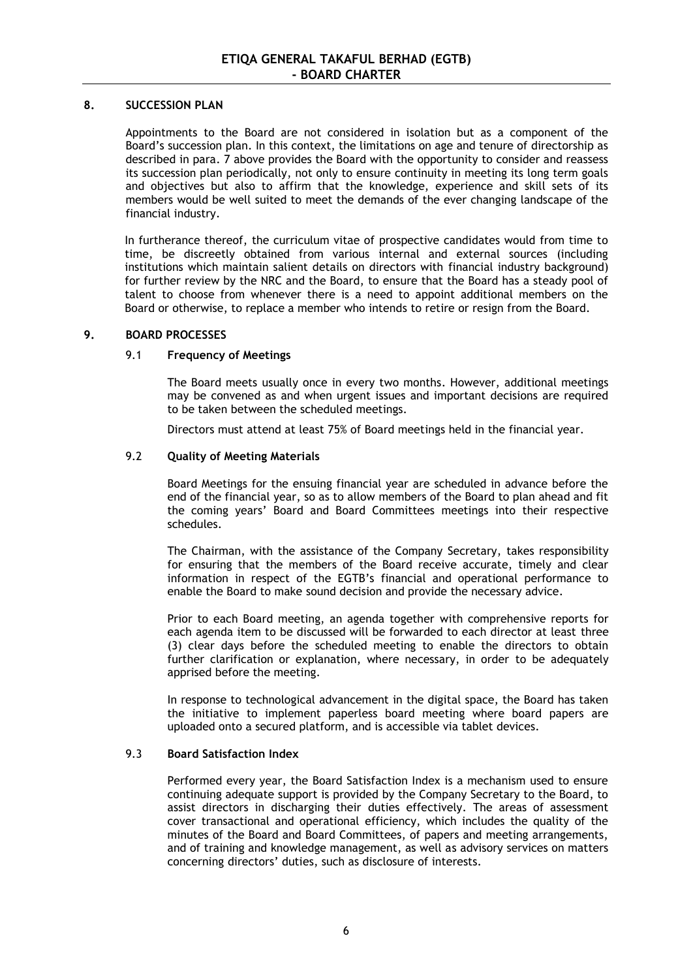### **8. SUCCESSION PLAN**

Appointments to the Board are not considered in isolation but as a component of the Board's succession plan. In this context, the limitations on age and tenure of directorship as described in para. 7 above provides the Board with the opportunity to consider and reassess its succession plan periodically, not only to ensure continuity in meeting its long term goals and objectives but also to affirm that the knowledge, experience and skill sets of its members would be well suited to meet the demands of the ever changing landscape of the financial industry.

In furtherance thereof, the curriculum vitae of prospective candidates would from time to time, be discreetly obtained from various internal and external sources (including institutions which maintain salient details on directors with financial industry background) for further review by the NRC and the Board, to ensure that the Board has a steady pool of talent to choose from whenever there is a need to appoint additional members on the Board or otherwise, to replace a member who intends to retire or resign from the Board.

### **9. BOARD PROCESSES**

### 9.1 **Frequency of Meetings**

The Board meets usually once in every two months. However, additional meetings may be convened as and when urgent issues and important decisions are required to be taken between the scheduled meetings.

Directors must attend at least 75% of Board meetings held in the financial year.

### 9.2 **Quality of Meeting Materials**

Board Meetings for the ensuing financial year are scheduled in advance before the end of the financial year, so as to allow members of the Board to plan ahead and fit the coming years' Board and Board Committees meetings into their respective schedules.

The Chairman, with the assistance of the Company Secretary, takes responsibility for ensuring that the members of the Board receive accurate, timely and clear information in respect of the EGTB's financial and operational performance to enable the Board to make sound decision and provide the necessary advice.

Prior to each Board meeting, an agenda together with comprehensive reports for each agenda item to be discussed will be forwarded to each director at least three (3) clear days before the scheduled meeting to enable the directors to obtain further clarification or explanation, where necessary, in order to be adequately apprised before the meeting.

In response to technological advancement in the digital space, the Board has taken the initiative to implement paperless board meeting where board papers are uploaded onto a secured platform, and is accessible via tablet devices.

## 9.3 **Board Satisfaction Index**

Performed every year, the Board Satisfaction Index is a mechanism used to ensure continuing adequate support is provided by the Company Secretary to the Board, to assist directors in discharging their duties effectively. The areas of assessment cover transactional and operational efficiency, which includes the quality of the minutes of the Board and Board Committees, of papers and meeting arrangements, and of training and knowledge management, as well as advisory services on matters concerning directors' duties, such as disclosure of interests.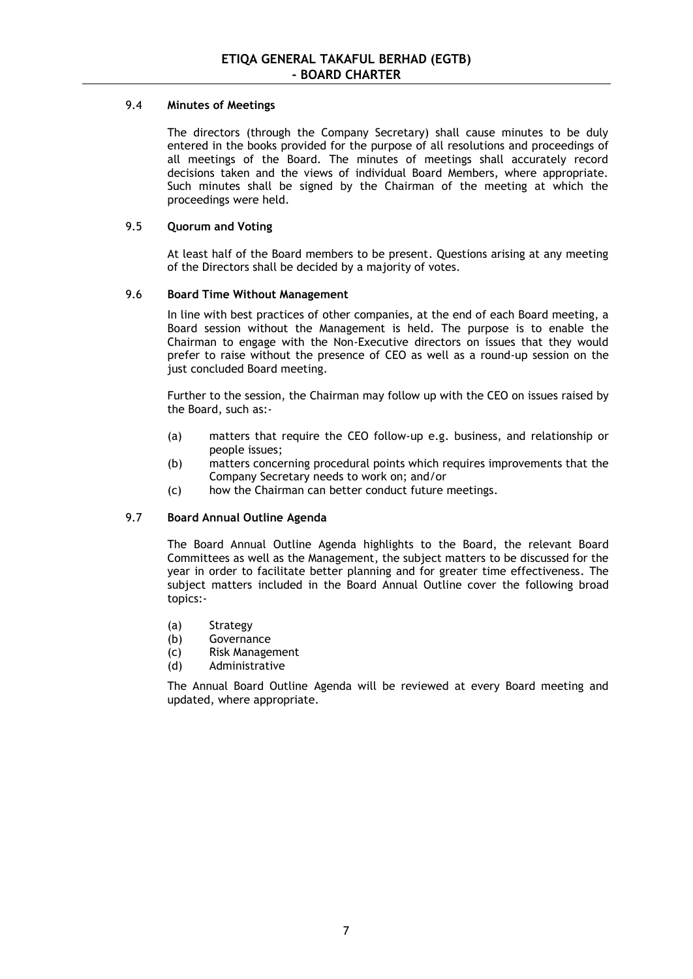## 9.4 **Minutes of Meetings**

The directors (through the Company Secretary) shall cause minutes to be duly entered in the books provided for the purpose of all resolutions and proceedings of all meetings of the Board. The minutes of meetings shall accurately record decisions taken and the views of individual Board Members, where appropriate. Such minutes shall be signed by the Chairman of the meeting at which the proceedings were held.

## 9.5 **Quorum and Voting**

At least half of the Board members to be present. Questions arising at any meeting of the Directors shall be decided by a majority of votes.

## 9.6 **Board Time Without Management**

In line with best practices of other companies, at the end of each Board meeting, a Board session without the Management is held. The purpose is to enable the Chairman to engage with the Non-Executive directors on issues that they would prefer to raise without the presence of CEO as well as a round-up session on the just concluded Board meeting.

Further to the session, the Chairman may follow up with the CEO on issues raised by the Board, such as:-

- (a) matters that require the CEO follow-up e.g. business, and relationship or people issues;
- (b) matters concerning procedural points which requires improvements that the Company Secretary needs to work on; and/or
- (c) how the Chairman can better conduct future meetings.

## 9.7 **Board Annual Outline Agenda**

The Board Annual Outline Agenda highlights to the Board, the relevant Board Committees as well as the Management, the subject matters to be discussed for the year in order to facilitate better planning and for greater time effectiveness. The subject matters included in the Board Annual Outline cover the following broad topics:-

- (a) Strategy
- (b) Governance
- (c) Risk Management
- (d) Administrative

The Annual Board Outline Agenda will be reviewed at every Board meeting and updated, where appropriate.